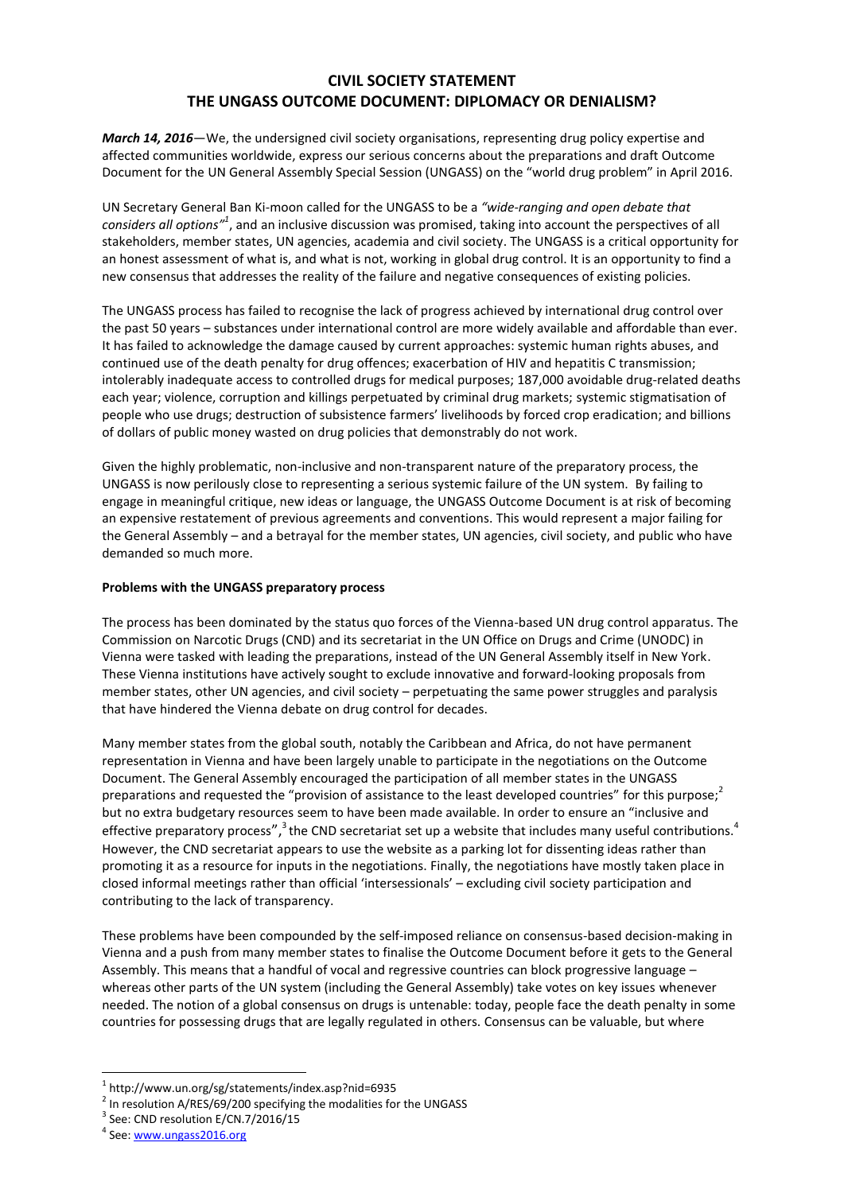## **CIVIL SOCIETY STATEMENT THE UNGASS OUTCOME DOCUMENT: DIPLOMACY OR DENIALISM?**

*March 14, 2016*—We, the undersigned civil society organisations, representing drug policy expertise and affected communities worldwide, express our serious concerns about the preparations and draft Outcome Document for the UN General Assembly Special Session (UNGASS) on the "world drug problem" in April 2016.

UN Secretary General Ban Ki-moon called for the UNGASS to be a *"wide-ranging and open debate that*  considers all options<sup>*n*1</sup>, and an inclusive discussion was promised, taking into account the perspectives of all stakeholders, member states, UN agencies, academia and civil society. The UNGASS is a critical opportunity for an honest assessment of what is, and what is not, working in global drug control. It is an opportunity to find a new consensus that addresses the reality of the failure and negative consequences of existing policies.

The UNGASS process has failed to recognise the lack of progress achieved by international drug control over the past 50 years – substances under international control are more widely available and affordable than ever. It has failed to acknowledge the damage caused by current approaches: systemic human rights abuses, and continued use of the death penalty for drug offences; exacerbation of HIV and hepatitis C transmission; intolerably inadequate access to controlled drugs for medical purposes; 187,000 avoidable drug-related deaths each year; violence, corruption and killings perpetuated by criminal drug markets; systemic stigmatisation of people who use drugs; destruction of subsistence farmers' livelihoods by forced crop eradication; and billions of dollars of public money wasted on drug policies that demonstrably do not work.

Given the highly problematic, non-inclusive and non-transparent nature of the preparatory process, the UNGASS is now perilously close to representing a serious systemic failure of the UN system. By failing to engage in meaningful critique, new ideas or language, the UNGASS Outcome Document is at risk of becoming an expensive restatement of previous agreements and conventions. This would represent a major failing for the General Assembly – and a betrayal for the member states, UN agencies, civil society, and public who have demanded so much more.

## **Problems with the UNGASS preparatory process**

The process has been dominated by the status quo forces of the Vienna-based UN drug control apparatus. The Commission on Narcotic Drugs (CND) and its secretariat in the UN Office on Drugs and Crime (UNODC) in Vienna were tasked with leading the preparations, instead of the UN General Assembly itself in New York. These Vienna institutions have actively sought to exclude innovative and forward-looking proposals from member states, other UN agencies, and civil society – perpetuating the same power struggles and paralysis that have hindered the Vienna debate on drug control for decades.

Many member states from the global south, notably the Caribbean and Africa, do not have permanent representation in Vienna and have been largely unable to participate in the negotiations on the Outcome Document. The General Assembly encouraged the participation of all member states in the UNGASS preparations and requested the "provision of assistance to the least developed countries" for this purpose;<sup>2</sup> but no extra budgetary resources seem to have been made available. In order to ensure an "inclusive and effective preparatory process", <sup>3</sup> the CND secretariat set up a website that includes many useful contributions.<sup>4</sup> However, the CND secretariat appears to use the website as a parking lot for dissenting ideas rather than promoting it as a resource for inputs in the negotiations. Finally, the negotiations have mostly taken place in closed informal meetings rather than official 'intersessionals' – excluding civil society participation and contributing to the lack of transparency.

These problems have been compounded by the self-imposed reliance on consensus-based decision-making in Vienna and a push from many member states to finalise the Outcome Document before it gets to the General Assembly. This means that a handful of vocal and regressive countries can block progressive language – whereas other parts of the UN system (including the General Assembly) take votes on key issues whenever needed. The notion of a global consensus on drugs is untenable: today, people face the death penalty in some countries for possessing drugs that are legally regulated in others. Consensus can be valuable, but where

1

<sup>1</sup> <http://www.un.org/sg/statements/index.asp?nid=6935>

 $2$  In resolution A/RES/69/200 specifying the modalities for the UNGASS

<sup>&</sup>lt;sup>3</sup> See: CND resolution E/CN.7/2016/15

<sup>&</sup>lt;sup>4</sup> See[: www.ungass2016.org](http://www.ungass2016.org/)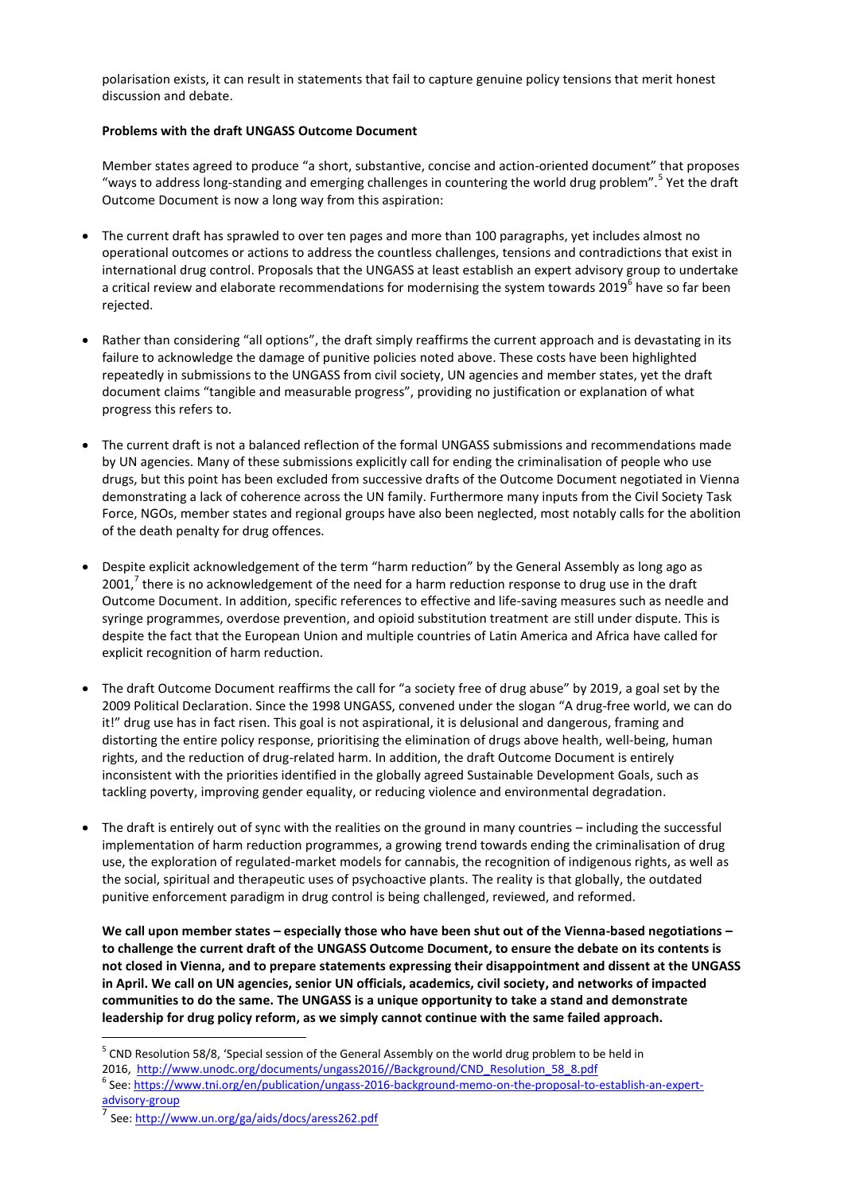polarisation exists, it can result in statements that fail to capture genuine policy tensions that merit honest discussion and debate.

## **Problems with the draft UNGASS Outcome Document**

Member states agreed to produce "a short, substantive, concise and action-oriented document" that proposes "ways to address long-standing and emerging challenges in countering the world drug problem".<sup>5</sup> Yet the draft Outcome Document is now a long way from this aspiration:

- The current draft has sprawled to over ten pages and more than 100 paragraphs, yet includes almost no operational outcomes or actions to address the countless challenges, tensions and contradictions that exist in international drug control. Proposals that the UNGASS at least establish an expert advisory group to undertake a critical review and elaborate recommendations for modernising the system towards 2019<sup>6</sup> have so far been rejected.
- Rather than considering "all options", the draft simply reaffirms the current approach and is devastating in its failure to acknowledge the damage of punitive policies noted above. These costs have been highlighted repeatedly in submissions to the UNGASS from civil society, UN agencies and member states, yet the draft document claims "tangible and measurable progress", providing no justification or explanation of what progress this refers to.
- The current draft is not a balanced reflection of the formal UNGASS submissions and recommendations made by UN agencies. Many of these submissions explicitly call for ending the criminalisation of people who use drugs, but this point has been excluded from successive drafts of the Outcome Document negotiated in Vienna demonstrating a lack of coherence across the UN family. Furthermore many inputs from the Civil Society Task Force, NGOs, member states and regional groups have also been neglected, most notably calls for the abolition of the death penalty for drug offences.
- Despite explicit acknowledgement of the term "harm reduction" by the General Assembly as long ago as 2001,<sup>7</sup> there is no acknowledgement of the need for a harm reduction response to drug use in the draft Outcome Document. In addition, specific references to effective and life-saving measures such as needle and syringe programmes, overdose prevention, and opioid substitution treatment are still under dispute. This is despite the fact that the European Union and multiple countries of Latin America and Africa have called for explicit recognition of harm reduction.
- The draft Outcome Document reaffirms the call for "a society free of drug abuse" by 2019, a goal set by the 2009 Political Declaration. Since the 1998 UNGASS, convened under the slogan "A drug-free world, we can do it!" drug use has in fact risen. This goal is not aspirational, it is delusional and dangerous, framing and distorting the entire policy response, prioritising the elimination of drugs above health, well-being, human rights, and the reduction of drug-related harm. In addition, the draft Outcome Document is entirely inconsistent with the priorities identified in the globally agreed Sustainable Development Goals, such as tackling poverty, improving gender equality, or reducing violence and environmental degradation.
- The draft is entirely out of sync with the realities on the ground in many countries including the successful implementation of harm reduction programmes, a growing trend towards ending the criminalisation of drug use, the exploration of regulated-market models for cannabis, the recognition of indigenous rights, as well as the social, spiritual and therapeutic uses of psychoactive plants. The reality is that globally, the outdated punitive enforcement paradigm in drug control is being challenged, reviewed, and reformed.

**We call upon member states – especially those who have been shut out of the Vienna-based negotiations – to challenge the current draft of the UNGASS Outcome Document, to ensure the debate on its contents is not closed in Vienna, and to prepare statements expressing their disappointment and dissent at the UNGASS in April. We call on UN agencies, senior UN officials, academics, civil society, and networks of impacted communities to do the same. The UNGASS is a unique opportunity to take a stand and demonstrate leadership for drug policy reform, as we simply cannot continue with the same failed approach.** 

2016, [http://www.unodc.org/documents/ungass2016//Background/CND\\_Resolution\\_58\\_8.pdf](http://www.unodc.org/documents/ungass2016/Background/CND_Resolution_58_8.pdf)

1

<sup>&</sup>lt;sup>5</sup> CND Resolution 58/8, 'Special session of the General Assembly on the world drug problem to be held in

<sup>&</sup>lt;sup>6</sup> See[: https://www.tni.org/en/publication/ungass-2016-background-memo-on-the-proposal-to-establish-an-expert](https://www.tni.org/en/publication/ungass-2016-background-memo-on-the-proposal-to-establish-an-expert-advisory-group)[advisory-group](https://www.tni.org/en/publication/ungass-2016-background-memo-on-the-proposal-to-establish-an-expert-advisory-group)

<sup>7</sup> See[: http://www.un.org/ga/aids/docs/aress262.pdf](http://www.un.org/ga/aids/docs/aress262.pdf)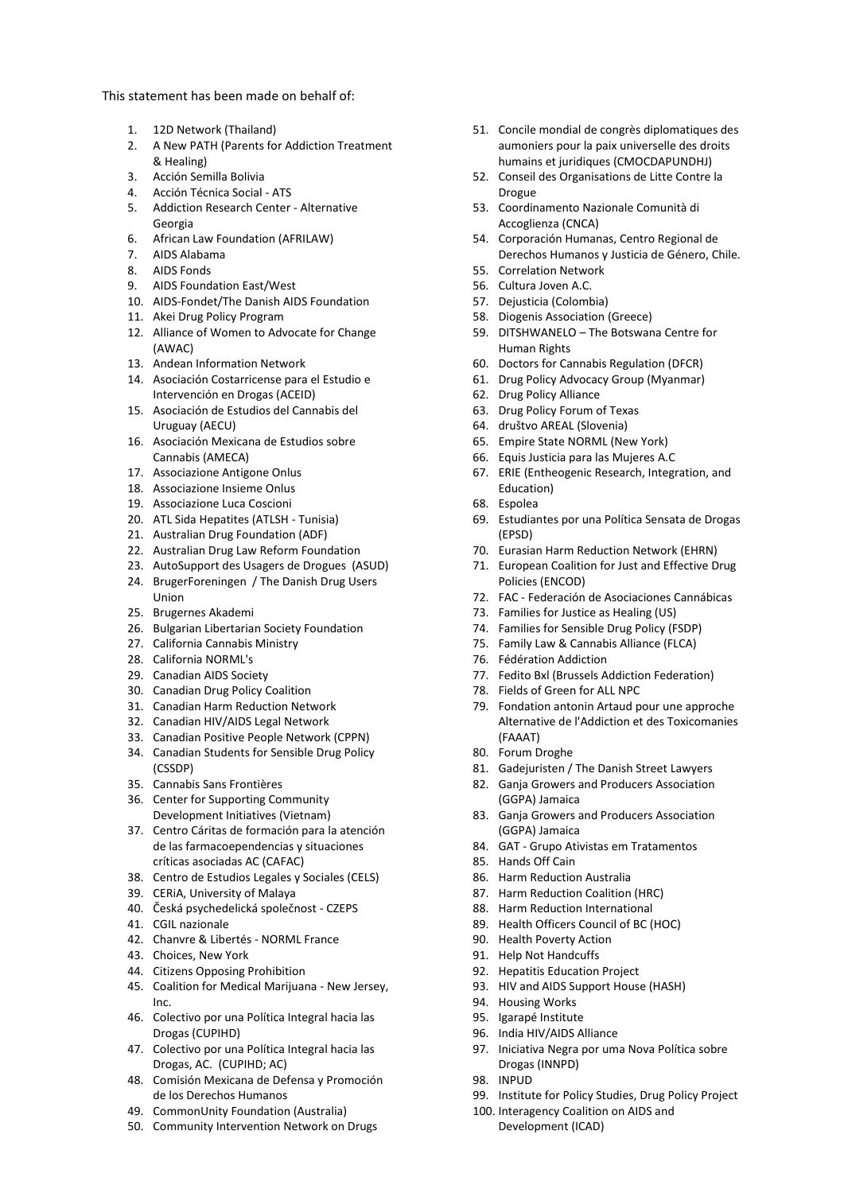This statement has been made on behalf of:

- 1. 12D Network (Thailand)
- 2. A New PATH (Parents for Addiction Treatment & Healing)
- 3. Acción Semilla Bolivia
- 4. Acción Técnica Social ATS
- 5. Addiction Research Center Alternative Georgia
- 6. African Law Foundation (AFRILAW)
- 7. AIDS Alabama
- 8. AIDS Fonds
- 9. AIDS Foundation East/West
- 10. AIDS-Fondet/The Danish AIDS Foundation
- 11. Akei Drug Policy Program
- 12. Alliance of Women to Advocate for Change (AWAC)
- 13. Andean Information Network
- 14. Asociación Costarricense para el Estudio e Intervención en Drogas (ACEID)
- 15. Asociación de Estudios del Cannabis del Uruguay (AECU)
- 16. Asociación Mexicana de Estudios sobre Cannabis (AMECA)
- 17. Associazione Antigone Onlus
- 18. Associazione Insieme Onlus
- 19. Associazione Luca Coscioni
- 20. ATL Sida Hepatites (ATLSH Tunisia)
- 21. Australian Drug Foundation (ADF)
- 22. Australian Drug Law Reform Foundation
- 23. AutoSupport des Usagers de Drogues (ASUD)
- 24. BrugerForeningen / The Danish Drug Users Union
- 25. Brugernes Akademi
- 26. Bulgarian Libertarian Society Foundation
- 27. California Cannabis Ministry
- 28. California NORML's
- 29. Canadian AIDS Society
- 30. Canadian Drug Policy Coalition
- 31. Canadian Harm Reduction Network
- 32. Canadian HIV/AIDS Legal Network
- 33. Canadian Positive People Network (CPPN)
- 34. Canadian Students for Sensible Drug Policy (CSSDP)
- 35. Cannabis Sans Frontières
- 36. Center for Supporting Community Development Initiatives (Vietnam)
- 37. Centro Cáritas de formación para la atención de las farmacoependencias y situaciones críticas asociadas AC (CAFAC)
- 38. Centro de Estudios Legales y Sociales (CELS)
- 39. CERiA, University of Malaya
- 40. Česká psychedelická společnost CZEPS
- 41. CGIL nazionale
- 42. Chanvre & Libertés NORML France
- 43. Choices, New York
- 44. Citizens Opposing Prohibition
- 45. Coalition for Medical Marijuana New Jersey, Inc.
- 46. Colectivo por una Política Integral hacia las Drogas (CUPIHD)
- 47. Colectivo por una Política Integral hacia las Drogas, AC. (CUPIHD; AC)
- 48. Comisión Mexicana de Defensa y Promoción de los Derechos Humanos
- 49. CommonUnity Foundation (Australia)
- 50. Community Intervention Network on Drugs
- 51. Concile mondial de congrès diplomatiques des aumoniers pour la paix universelle des droits humains et juridiques (CMOCDAPUNDHJ)
- 52. Conseil des Organisations de Litte Contre la Drogue
- 53. Coordinamento Nazionale Comunità di Accoglienza (CNCA)
- 54. Corporación Humanas, Centro Regional de Derechos Humanos y Justicia de Género, Chile.
- 55. Correlation Network
- 56. Cultura Joven A.C.
- 57. Dejusticia (Colombia)
- 58. Diogenis Association (Greece)
- 59. DITSHWANELO The Botswana Centre for Human Rights
- 60. Doctors for Cannabis Regulation (DFCR)
- 61. Drug Policy Advocacy Group (Myanmar)
- 62. Drug Policy Alliance
- 63. Drug Policy Forum of Texas
- 64. društvo AREAL (Slovenia)
- 65. Empire State NORML (New York)
- 66. Equis Justicia para las Mujeres A.C
- 67. ERIE (Entheogenic Research, Integration, and Education)
- 68. Espolea
- 69. Estudiantes por una Política Sensata de Drogas (EPSD)
- 70. Eurasian Harm Reduction Network (EHRN)
- 71. European Coalition for Just and Effective Drug Policies (ENCOD)
- 72. FAC Federación de Asociaciones Cannábicas
- 73. Families for Justice as Healing (US)
- 74. Families for Sensible Drug Policy (FSDP)
- 75. Family Law & Cannabis Alliance (FLCA)
- 76. Fédération Addiction
- 77. Fedito Bxl (Brussels Addiction Federation)
- 78. Fields of Green for ALL NPC
- 79. Fondation antonin Artaud pour une approche Alternative de l'Addiction et des Toxicomanies (FAAAT)
- 80. Forum Droghe
- 81. Gadejuristen / The Danish Street Lawyers
- 82. Ganja Growers and Producers Association (GGPA) Jamaica
- 83. Ganja Growers and Producers Association (GGPA) Jamaica
- 84. GAT Grupo Ativistas em Tratamentos
- 85. Hands Off Cain
- 86. Harm Reduction Australia
- 87. Harm Reduction Coalition (HRC)
- 88. Harm Reduction International
- 89. Health Officers Council of BC (HOC)
- 90. Health Poverty Action
- 91. Help Not Handcuffs
- 92. Hepatitis Education Project
- 93. HIV and AIDS Support House (HASH)
- 94. Housing Works
- 95. Igarapé Institute
- 96. India HIV/AIDS Alliance

Development (ICAD)

- 97. Iniciativa Negra por uma Nova Política sobre Drogas (INNPD)
- 98. INPUD
- 99. Institute for Policy Studies, Drug Policy Project 100. Interagency Coalition on AIDS and